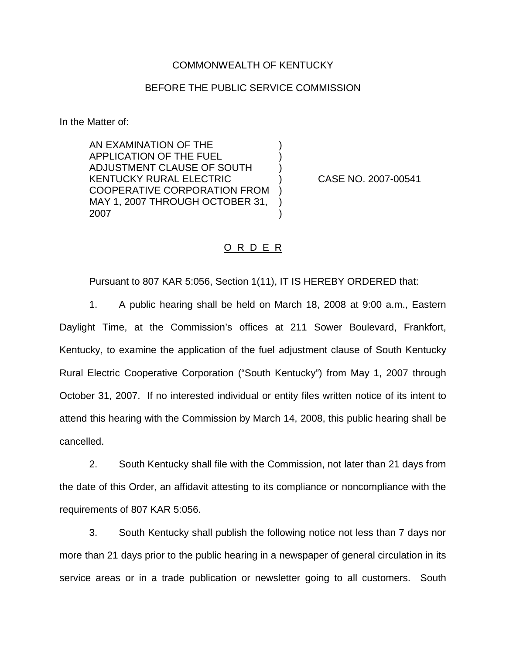## COMMONWEALTH OF KENTUCKY

## BEFORE THE PUBLIC SERVICE COMMISSION

) ) )

) ) )

In the Matter of:

AN EXAMINATION OF THE APPLICATION OF THE FUEL ADJUSTMENT CLAUSE OF SOUTH KENTUCKY RURAL ELECTRIC COOPERATIVE CORPORATION FROM MAY 1, 2007 THROUGH OCTOBER 31, 2007

) CASE NO. 2007-00541

## O R D E R

Pursuant to 807 KAR 5:056, Section 1(11), IT IS HEREBY ORDERED that:

1. A public hearing shall be held on March 18, 2008 at 9:00 a.m., Eastern Daylight Time, at the Commission's offices at 211 Sower Boulevard, Frankfort, Kentucky, to examine the application of the fuel adjustment clause of South Kentucky Rural Electric Cooperative Corporation ("South Kentucky") from May 1, 2007 through October 31, 2007. If no interested individual or entity files written notice of its intent to attend this hearing with the Commission by March 14, 2008, this public hearing shall be cancelled.

2. South Kentucky shall file with the Commission, not later than 21 days from the date of this Order, an affidavit attesting to its compliance or noncompliance with the requirements of 807 KAR 5:056.

3. South Kentucky shall publish the following notice not less than 7 days nor more than 21 days prior to the public hearing in a newspaper of general circulation in its service areas or in a trade publication or newsletter going to all customers. South